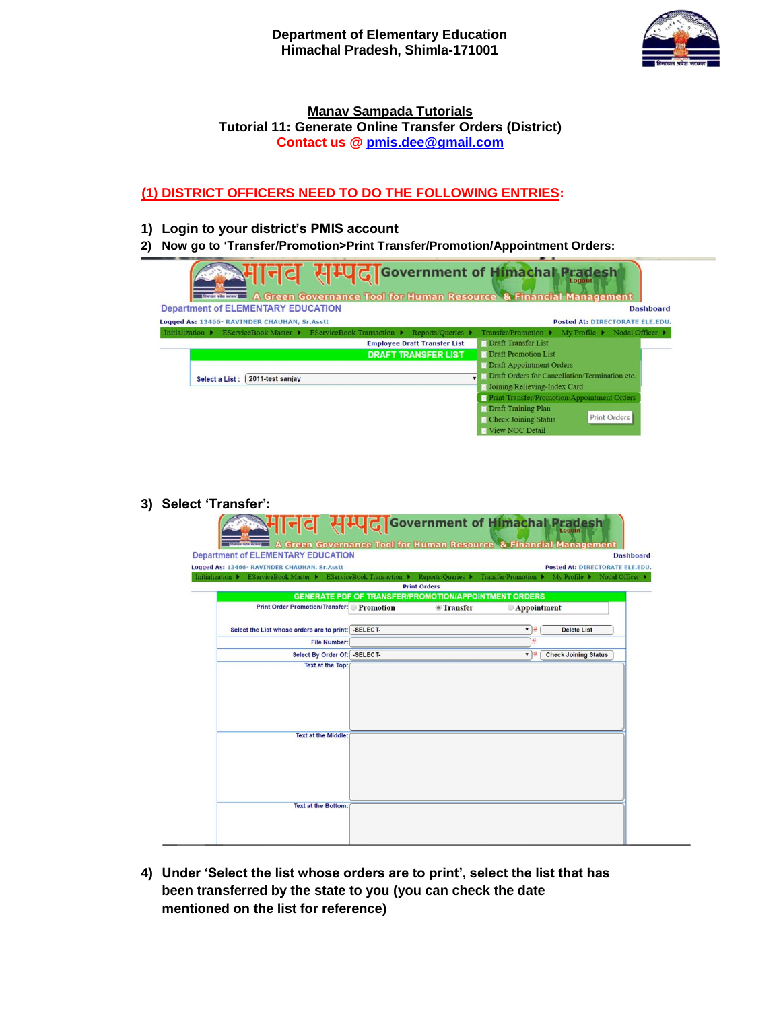

# **Manav Sampada Tutorials Tutorial 11: Generate Online Transfer Orders (District) Contact us @ pmis.dee@gmail.com**

# **(1) DISTRICT OFFICERS NEED TO DO THE FOLLOWING ENTRIES:**

**1) Login to your district"s PMIS account**

3)

**2) Now go to "Transfer/Promotion>Print Transfer/Promotion/Appointment Orders:**

| <u>अमानव सम्पदा</u> Government of Himachal Pradesh                                  | $\equiv$ A Green Governance Tool for Human Resource & Financial Management   |
|-------------------------------------------------------------------------------------|------------------------------------------------------------------------------|
| <b>Department of ELEMENTARY EDUCATION</b>                                           | <b>Dashboard</b>                                                             |
| Logged As: 13466- RAVINDER CHAUHAN, Sr.Asstt                                        | Posted At: DIRECTORATE ELE.EDU.                                              |
| Initialization ▶ EServiceBook Master ▶ EServiceBook Transaction ▶ Reports/Queries ▶ | Transfer Promotion ▶ My Profile ▶ Nodal Officer ▶                            |
| <b>Employee Draft Transfer List</b>                                                 | <b>D</b> Draft Transfer List                                                 |
| <b>DRAFT TRANSFER LIST</b>                                                          | <b>Draft Promotion List</b>                                                  |
|                                                                                     | <b>Draft Appointment Orders</b>                                              |
| 2011-test sanjay<br>Select a List:                                                  | <b>De Draft Orders for Cancellation/Termination etc.</b>                     |
|                                                                                     | <b>D</b> Joining/Relieving-Index Card                                        |
|                                                                                     | <b>Print Transfer Promotion Appointment Orders</b>                           |
|                                                                                     | <b>Draft Training Plan</b>                                                   |
|                                                                                     | Print Orders<br><b>Check Joining Status</b>                                  |
|                                                                                     | View NOC Detail                                                              |
|                                                                                     |                                                                              |
| Select 'Transfer':                                                                  |                                                                              |
| HI디더 제 UC TGovernment of Himachal Prade                                             | <b>A Green Governance Tool for Human Resource &amp; Financial Management</b> |
| <b>Department of ELEMENTARY EDUCATION</b>                                           | <b>Dashboard</b>                                                             |
| Logged As: 13466- RAVINDER CHAUHAN, Sr.Asstt                                        | <b>Posted At: DIRECTORATE ELE.EDU.</b>                                       |
| Initialization ▶ EServiceBook Master ▶ EServiceBook Transaction ▶                   | Reports/Queries ▶ Transfer/Promotion ▶ My Profile ▶ Nodal Officer ▶          |
| <b>Print Orders</b>                                                                 |                                                                              |
| <b>GENERATE PDF OF TRANSFER/PROMOTION/APPOINTMENT ORDERS</b>                        |                                                                              |
| <b>Print Order Promotion/Transfer:</b> Promotion                                    | <b><i>O</i></b> Transfer<br>Appointment                                      |
|                                                                                     |                                                                              |
| -SELECT-<br>Select the List whose orders are to print:                              | $\blacksquare$<br><b>Delete List</b>                                         |
| <b>File Number:</b>                                                                 |                                                                              |
| Select By Order Of:   -SELECT-                                                      | $\mathbf{v}$ #<br><b>Check Joining Status</b>                                |
| <b>Text at the Top:</b>                                                             |                                                                              |
|                                                                                     |                                                                              |
|                                                                                     |                                                                              |
|                                                                                     |                                                                              |
|                                                                                     |                                                                              |
| <b>Text at the Middle:</b>                                                          |                                                                              |

**4) Under "Select the list whose orders are to print", select the list that has been transferred by the state to you (you can check the date mentioned on the list for reference)**

**Text at the Bottom**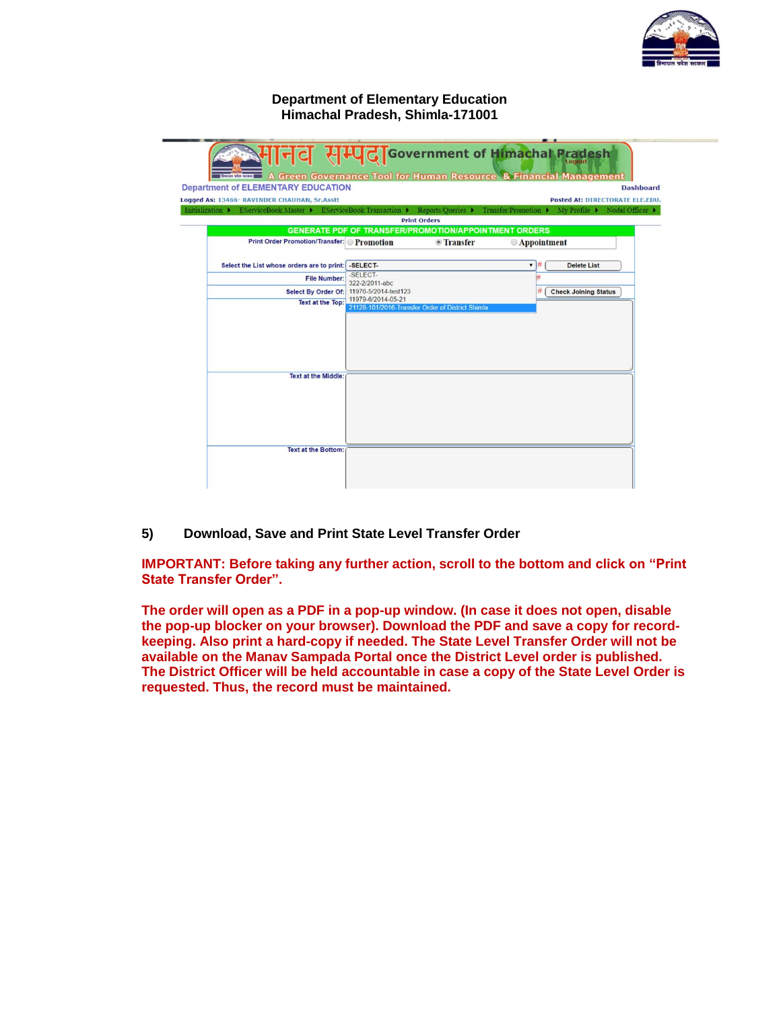

**Department of Elementary Education Himachal Pradesh, Shimla-171001**

|                                                                                                                   |                                                                        |                                 | . .<br>HI디디 HIUCTGovernment of Himachal Pradesh     |                                                                        |
|-------------------------------------------------------------------------------------------------------------------|------------------------------------------------------------------------|---------------------------------|-----------------------------------------------------|------------------------------------------------------------------------|
| <b>Lachimer A Green Governance Tool for Human Resource &amp; Financial Management</b>                             |                                                                        |                                 |                                                     |                                                                        |
| <b>Department of ELEMENTARY EDUCATION</b>                                                                         |                                                                        |                                 |                                                     | <b>Dashboard</b>                                                       |
| Logged As: 13466- RAVINDER CHAUHAN, Sr.Asstt<br>Initialization ▶ EServiceBook Master ▶ EServiceBook Transaction ▶ |                                                                        | Reports/Queries >               | Transfer Promotion ▶                                | <b>Posted At: DIRECTORATE ELE.EDU.</b><br>My Profile ▶ Nodal Officer ▶ |
|                                                                                                                   | <b>Print Orders</b>                                                    |                                 |                                                     |                                                                        |
|                                                                                                                   | <b>GENERATE PDF OF TRANSFER/PROMOTION/APPOINTMENT ORDERS</b>           |                                 |                                                     |                                                                        |
| <b>Print Order Promotion/Transfer:</b> Promotion                                                                  |                                                                        | <b><i><u>• Transfer</u></i></b> | <b>Appointment</b>                                  |                                                                        |
| Select the List whose orders are to print: - SELECT-                                                              |                                                                        |                                 | $\overline{\phantom{a}}$<br><b>Delete List</b><br>♯ |                                                                        |
| <b>File Number:</b>                                                                                               | -SELECT-<br>322-2/2011-abc                                             |                                 |                                                     |                                                                        |
| <b>Select By Order Of:</b>                                                                                        | 11976-5/2014-test123                                                   |                                 | <b>Check Joining Status</b>                         |                                                                        |
| <b>Text at the Top:</b>                                                                                           | 11979-6/2014-05-21<br>21128-101/2016-Transfer Order of District Shimla |                                 |                                                     |                                                                        |
| <b>Text at the Middle:</b>                                                                                        |                                                                        |                                 |                                                     |                                                                        |
| <b>Text at the Bottom:</b>                                                                                        |                                                                        |                                 |                                                     |                                                                        |

**5) Download, Save and Print State Level Transfer Order**

**IMPORTANT: Before taking any further action, scroll to the bottom and click on "Print State Transfer Order".** 

**The order will open as a PDF in a pop-up window. (In case it does not open, disable the pop-up blocker on your browser). Download the PDF and save a copy for recordkeeping. Also print a hard-copy if needed. The State Level Transfer Order will not be available on the Manav Sampada Portal once the District Level order is published. The District Officer will be held accountable in case a copy of the State Level Order is requested. Thus, the record must be maintained.**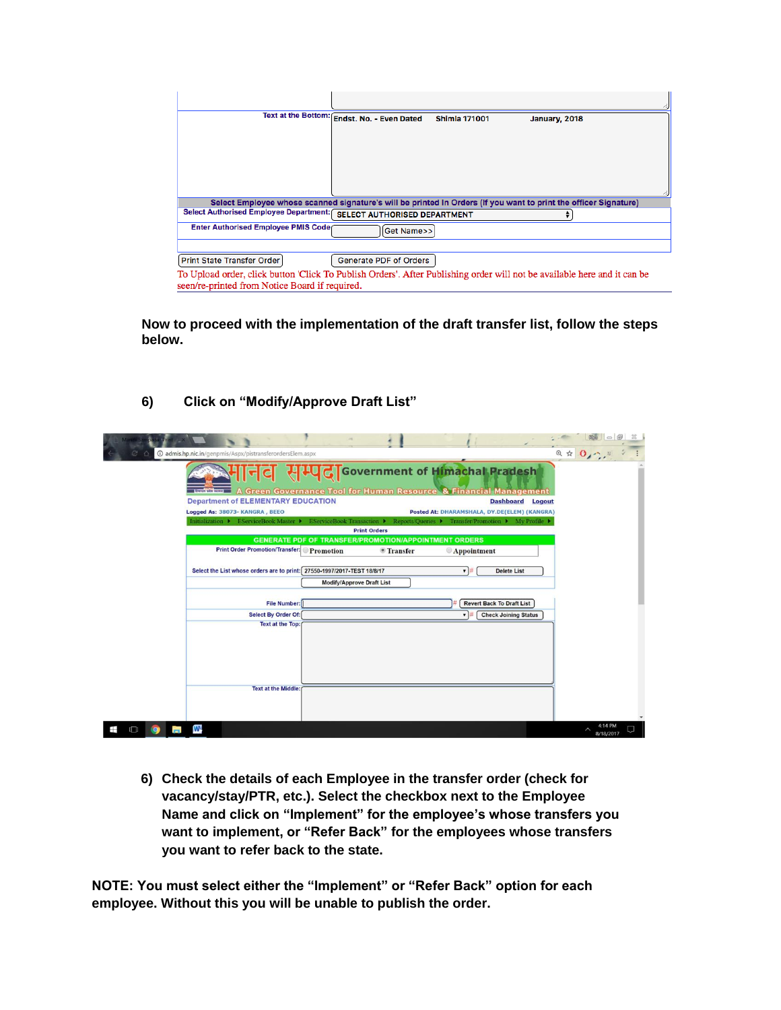|                                                                                                                                                                            | Text at the Bottom: Endst. No. - Even Dated | <b>Shimla 171001</b> | January, 2018 |
|----------------------------------------------------------------------------------------------------------------------------------------------------------------------------|---------------------------------------------|----------------------|---------------|
|                                                                                                                                                                            |                                             |                      |               |
|                                                                                                                                                                            |                                             |                      |               |
|                                                                                                                                                                            |                                             |                      |               |
|                                                                                                                                                                            |                                             |                      |               |
| Select Employee whose scanned signature's will be printed In Orders (If you want to print the officer Signature)                                                           |                                             |                      |               |
| Select Authorised Employee Department:                                                                                                                                     | <b>SELECT AUTHORISED DEPARTMENT</b>         |                      |               |
| Enter Authorised Employee PMIS Code                                                                                                                                        | Get Name>>                                  |                      |               |
|                                                                                                                                                                            |                                             |                      |               |
| Print State Transfer Order                                                                                                                                                 | Generate PDF of Orders                      |                      |               |
| To Upload order, click button 'Click To Publish Orders'. After Publishing order will not be available here and it can be<br>seen/re-printed from Notice Board if required. |                                             |                      |               |

**Now to proceed with the implementation of the draft transfer list, follow the steps below.**

**6) Click on "Modify/Approve Draft List"**

|             | <b><i>①</i></b> admis.hp.nic.in/genpmis/Aspx/pistransferordersElem.aspx                                               |                                  |                                                                                     |                                                                                                                     | $Q \oplus Q_{\ell}$ . |  |
|-------------|-----------------------------------------------------------------------------------------------------------------------|----------------------------------|-------------------------------------------------------------------------------------|---------------------------------------------------------------------------------------------------------------------|-----------------------|--|
|             | <b>Seven via scene</b>                                                                                                |                                  |                                                                                     | <b>  디디 커피스 Government of Himachal Pradesh</b><br>A Green Governance Tool for Human Resource & Financial Management |                       |  |
|             | <b>Department of ELEMENTARY EDUCATION</b>                                                                             |                                  |                                                                                     | <b>Dashboard Logout</b>                                                                                             |                       |  |
|             | Logged As: 38073- KANGRA, BEEO                                                                                        |                                  |                                                                                     | Posted At: DHARAMSHALA, DY.DE(ELEM) (KANGRA)                                                                        |                       |  |
|             | Initialization ▶ EServiceBook Master ▶ EServiceBook Transaction ▶ Reports/Queries ▶ Transfer/Promotion ▶ My Profile ▶ |                                  |                                                                                     |                                                                                                                     |                       |  |
|             |                                                                                                                       |                                  | <b>Print Orders</b><br><b>GENERATE PDF OF TRANSFER/PROMOTION/APPOINTMENT ORDERS</b> |                                                                                                                     |                       |  |
|             | <b>Print Order Promotion/Transfer:</b>                                                                                | Promotion                        | <sup>o</sup> Transfer                                                               | Appointment                                                                                                         |                       |  |
|             |                                                                                                                       |                                  |                                                                                     |                                                                                                                     |                       |  |
|             | Select the List whose orders are to print: 27550-1997/2017-TEST 18/8/17                                               |                                  |                                                                                     | <b>Delete List</b><br>▼#                                                                                            |                       |  |
|             |                                                                                                                       | <b>Modify/Approve Draft List</b> |                                                                                     |                                                                                                                     |                       |  |
|             |                                                                                                                       |                                  |                                                                                     |                                                                                                                     |                       |  |
|             | File Number:                                                                                                          |                                  |                                                                                     | <b>Revert Back To Draft List</b>                                                                                    |                       |  |
|             | <b>Select By Order Of:</b>                                                                                            |                                  |                                                                                     | <b>Check Joining Status</b>                                                                                         |                       |  |
|             | <b>Text at the Top:</b>                                                                                               |                                  |                                                                                     |                                                                                                                     |                       |  |
|             |                                                                                                                       |                                  |                                                                                     |                                                                                                                     |                       |  |
|             |                                                                                                                       |                                  |                                                                                     |                                                                                                                     |                       |  |
|             |                                                                                                                       |                                  |                                                                                     |                                                                                                                     |                       |  |
|             | <b>Text at the Middle:</b>                                                                                            |                                  |                                                                                     |                                                                                                                     |                       |  |
|             |                                                                                                                       |                                  |                                                                                     |                                                                                                                     |                       |  |
|             |                                                                                                                       |                                  |                                                                                     |                                                                                                                     |                       |  |
|             |                                                                                                                       |                                  |                                                                                     |                                                                                                                     |                       |  |
| Ŧ<br>$\Box$ | W.                                                                                                                    |                                  |                                                                                     |                                                                                                                     | 8/18/2017             |  |

**6) Check the details of each Employee in the transfer order (check for vacancy/stay/PTR, etc.). Select the checkbox next to the Employee Name and click on "Implement" for the employee"s whose transfers you want to implement, or "Refer Back" for the employees whose transfers you want to refer back to the state.**

**NOTE: You must select either the "Implement" or "Refer Back" option for each employee. Without this you will be unable to publish the order.**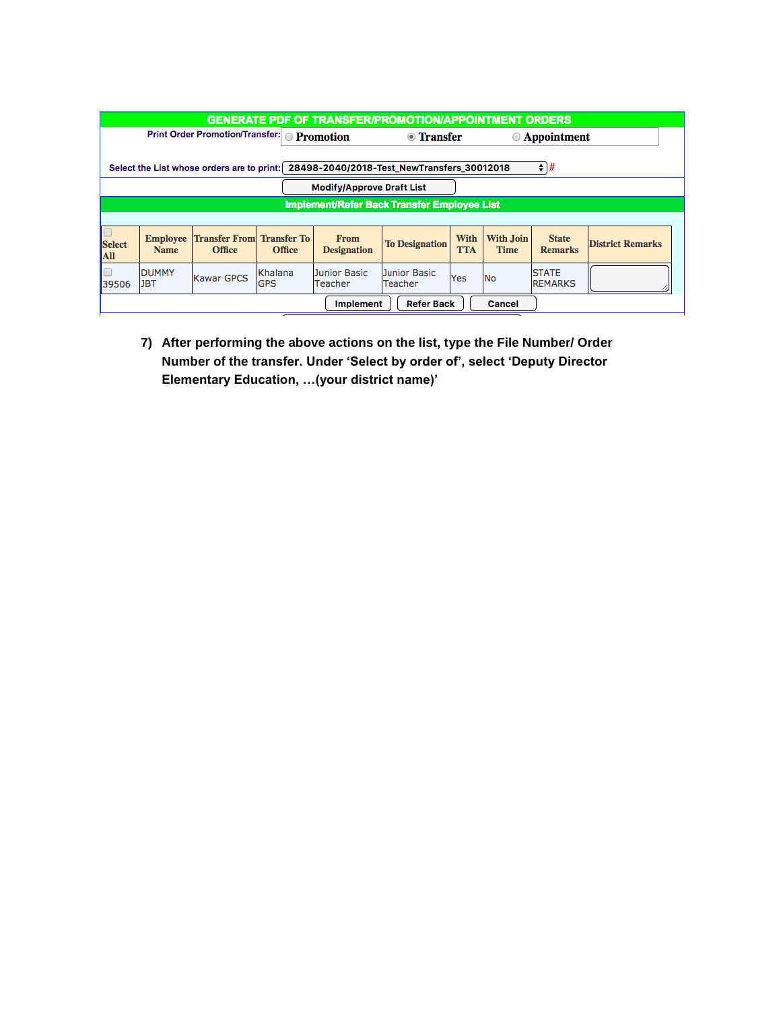| <b>GENERATE PDF OF TRANSFER/PROMOTION/APPOINTMENT ORDERS</b>                                                              |                                |                                                                              |  |                                   |                                             |                           |                                 |                                |                         |  |
|---------------------------------------------------------------------------------------------------------------------------|--------------------------------|------------------------------------------------------------------------------|--|-----------------------------------|---------------------------------------------|---------------------------|---------------------------------|--------------------------------|-------------------------|--|
| <b>Print Order Promotion/Transfer: Promotion</b><br>◎ Transfer<br><b>Appointment</b>                                      |                                |                                                                              |  |                                   |                                             |                           |                                 |                                |                         |  |
| ÷<br>1#<br>28498-2040/2018-Test_NewTransfers_30012018<br>Select the List whose orders are to print:                       |                                |                                                                              |  |                                   |                                             |                           |                                 |                                |                         |  |
|                                                                                                                           |                                |                                                                              |  | <b>Modify/Approve Draft List</b>  |                                             |                           |                                 |                                |                         |  |
|                                                                                                                           |                                |                                                                              |  |                                   | Implement/Refer Back Transfer Employee List |                           |                                 |                                |                         |  |
|                                                                                                                           |                                |                                                                              |  |                                   |                                             |                           |                                 |                                |                         |  |
| <b>Select</b><br>All                                                                                                      | <b>Employee</b><br><b>Name</b> | <b>Transfer To</b><br><b>Transfer From</b><br><b>Office</b><br><b>Office</b> |  | <b>From</b><br><b>Designation</b> | <b>To Designation</b>                       | <b>With</b><br><b>TTA</b> | <b>With Join</b><br><b>Time</b> | <b>State</b><br><b>Remarks</b> | <b>District Remarks</b> |  |
| Khalana<br>DUMMY<br>Junior Basic<br>Junior Basic<br><b>Kawar GPCS</b><br><b>GPS</b><br>JBT<br>Teacher<br>Teacher<br>39506 |                                |                                                                              |  |                                   |                                             | Yes                       | <b>No</b>                       | <b>STATE</b><br><b>REMARKS</b> |                         |  |
|                                                                                                                           |                                |                                                                              |  | <b>Implement</b>                  | <b>Refer Back</b>                           |                           | <b>Cancel</b>                   |                                |                         |  |

**7) After performing the above actions on the list, type the File Number/ Order Number of the transfer. Under "Select by order of", select "Deputy Director Elementary Education, …(your district name)"**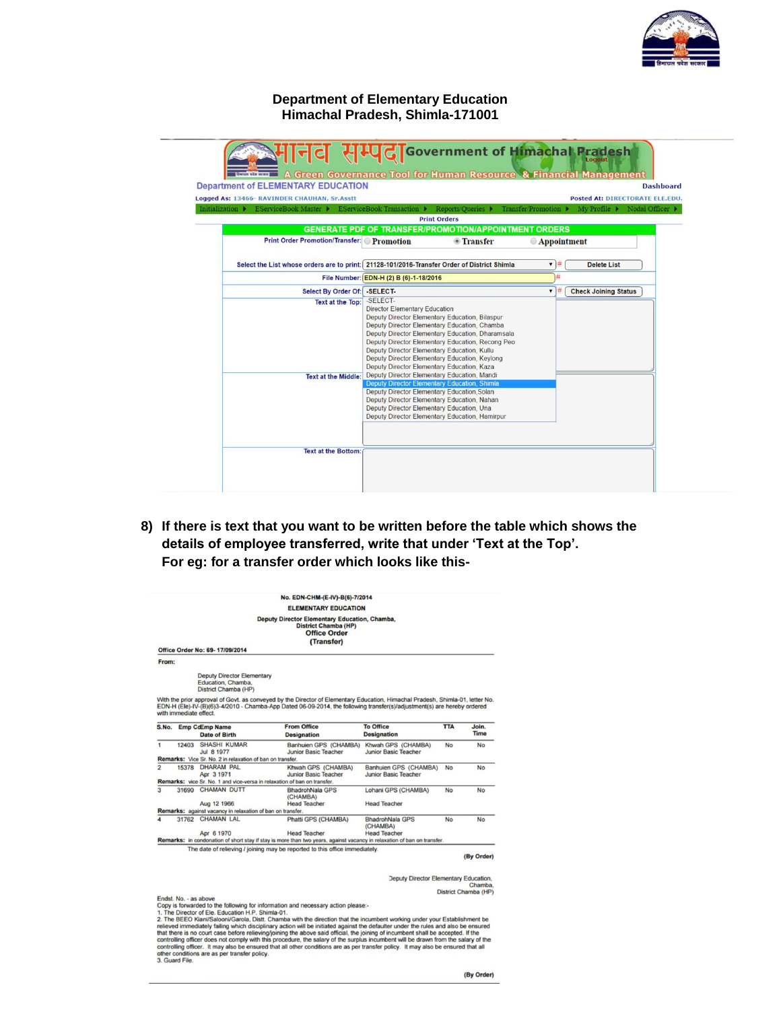

# **Department of Elementary Education Himachal Pradesh, Shimla-171001**

| <b>Department of ELEMENTARY EDUCATION</b>                                                                         |                                                                                                                                                                                                                                                                                                                                                                                              |                      | <b>Dashboard</b><br><b>Posted At: DIRECTORATE ELE.EDU.</b> |
|-------------------------------------------------------------------------------------------------------------------|----------------------------------------------------------------------------------------------------------------------------------------------------------------------------------------------------------------------------------------------------------------------------------------------------------------------------------------------------------------------------------------------|----------------------|------------------------------------------------------------|
| Logged As: 13466- RAVINDER CHAUHAN, Sr.Asstt<br>Initialization ▶ EServiceBook Master ▶ EServiceBook Transaction ▶ | Reports/Queries $\blacktriangleright$                                                                                                                                                                                                                                                                                                                                                        | Transfer/Promotion ▶ | My Profile ▶ Nodal Officer ▶                               |
|                                                                                                                   | <b>Print Orders</b>                                                                                                                                                                                                                                                                                                                                                                          |                      |                                                            |
|                                                                                                                   | <b>GENERATE PDF OF TRANSFER/PROMOTION/APPOINTMENT ORDERS</b>                                                                                                                                                                                                                                                                                                                                 |                      |                                                            |
| <b>Print Order Promotion/Transfer:</b> Promotion                                                                  | <b><i><u>• Transfer</u></i></b>                                                                                                                                                                                                                                                                                                                                                              | <b>Appointment</b>   |                                                            |
|                                                                                                                   |                                                                                                                                                                                                                                                                                                                                                                                              |                      |                                                            |
|                                                                                                                   | Select the List whose orders are to print: 21128-101/2016-Transfer Order of District Shimla                                                                                                                                                                                                                                                                                                  | $\blacksquare$       | <b>Delete List</b>                                         |
|                                                                                                                   | File Number: EDN-H (2) B (6)-1-18/2016                                                                                                                                                                                                                                                                                                                                                       |                      |                                                            |
| Select By Order Of: - SELECT-                                                                                     |                                                                                                                                                                                                                                                                                                                                                                                              | 7                    | <b>Check Joining Status</b>                                |
| <b>Text at the Top:</b>                                                                                           | <b>Director Elementary Education</b><br>Deputy Director Elementary Education, Bilaspur<br>Deputy Director Elementary Education, Chamba<br>Deputy Director Elementary Education, Dharamsala<br>Deputy Director Elementary Education, Recong Peo<br>Deputy Director Elementary Education, Kullu<br>Deputy Director Elementary Education, Keylong<br>Deputy Director Elementary Education, Kaza |                      |                                                            |
| <b>Text at the Middle:</b>                                                                                        | Deputy Director Elementary Education, Mandi<br><b>Deputy Director Elementary Education, Shimla</b><br>Deputy Director Elementary Education, Solan<br>Deputy Director Elementary Education, Nahan<br>Deputy Director Elementary Education, Una<br>Deputy Director Elementary Education, Hamirpur                                                                                              |                      |                                                            |

**8) If there is text that you want to be written before the table which shows the details of employee transferred, write that under "Text at the Top". For eg: for a transfer order which looks like this-**

|                     |                        |                                                                                                                   | <b>ELEMENTARY EDUCATION</b>                                                                                                                                                                                                                                                    |                                                           |            |                                 |
|---------------------|------------------------|-------------------------------------------------------------------------------------------------------------------|--------------------------------------------------------------------------------------------------------------------------------------------------------------------------------------------------------------------------------------------------------------------------------|-----------------------------------------------------------|------------|---------------------------------|
|                     |                        | Office Order No: 69-17/09/2014                                                                                    | Deputy Director Elementary Education, Chamba,<br><b>District Chamba (HP)</b><br><b>Office Order</b><br>(Transfer)                                                                                                                                                              |                                                           |            |                                 |
| From:               |                        |                                                                                                                   |                                                                                                                                                                                                                                                                                |                                                           |            |                                 |
|                     |                        | <b>Deputy Director Elementary</b><br>Education, Chamba,<br>District Chamba (HP)                                   |                                                                                                                                                                                                                                                                                |                                                           |            |                                 |
|                     | with immediate effect. | S.No. Emp CoEmp Name                                                                                              | With the prior approval of Govt. as conveyed by the Director of Elementary Education, Himachal Pradesh, Shimla-01, letter No.<br>EDN-H (Ele)-IV-(B)(6)3-4/2010 - Chamba-App Dated 06-09-2014, the following transfer(s)/adjustment(s) are hereby ordered<br><b>From Office</b> | <b>To Office</b>                                          | <b>TTA</b> | Join.                           |
|                     |                        | <b>Date of Birth</b>                                                                                              | <b>Designation</b>                                                                                                                                                                                                                                                             | <b>Designation</b>                                        |            | <b>Time</b>                     |
| $\mathbf{1}$        |                        | 12403 SHASHI KUMAR<br>Jul 8 1977<br>Remarks: Vice Sr. No. 2 in relaxation of ban on transfer.                     | Banhuien GPS (CHAMBA)<br>Junior Basic Teacher                                                                                                                                                                                                                                  | Khwah GPS (CHAMBA)<br>Junior Basic Teacher                | <b>No</b>  | No                              |
| $\overline{2}$      |                        | 15378 DHARAM PAL<br>Apr 3 1971<br><b>Remarks:</b> vice Sr. No. 1 and vice-versa in relaxation of ban on transfer. | Khwah GPS (CHAMBA)<br>Junior Basic Teacher                                                                                                                                                                                                                                     | Banhuien GPS (CHAMBA)<br>Junior Basic Teacher             | <b>No</b>  | No                              |
| $\overline{3}$      |                        | 31690 CHAMAN DUTT<br>Aug 12 1966                                                                                  | <b>BhadrohNala GPS</b><br>(CHAMBA)<br><b>Head Teacher</b>                                                                                                                                                                                                                      | Lohani GPS (CHAMBA)<br><b>Head Teacher</b>                | <b>No</b>  | No                              |
|                     |                        | Remarks: against vacancy in relaxation of ban on transfer.                                                        |                                                                                                                                                                                                                                                                                |                                                           |            |                                 |
| $\overline{\bf{4}}$ |                        | 31762 CHAMAN LAL<br>Apr 6 1970                                                                                    | Phatti GPS (CHAMBA)<br><b>Head Teacher</b>                                                                                                                                                                                                                                     | <b>BhadrohNala GPS</b><br>(CHAMBA)<br><b>Head Teacher</b> | <b>No</b>  | No                              |
|                     |                        |                                                                                                                   | Remarks: in condonation of short stay if stay is more than two years, against vacancy in relaxation of ban on transfer.                                                                                                                                                        |                                                           |            |                                 |
|                     |                        |                                                                                                                   | The date of relieving / joining may be reported to this office immediately.                                                                                                                                                                                                    |                                                           |            | (By Order)                      |
|                     |                        |                                                                                                                   |                                                                                                                                                                                                                                                                                | <b>Deputy Director Elementary Education,</b>              |            | Chamba.<br>District Chamba (HP) |
|                     | Endst. No. - as above  |                                                                                                                   | Copy is forwarded to the following for information and necessary action please:-<br>1. The Director of Ele. Education H.P. Shimla-01.                                                                                                                                          |                                                           |            |                                 |

controlling officer. It may also be ensured that all other conditions are as per transfer policy. It may also be ensured that all other conditions are as per transfer policy. It may also be ensured that all other condition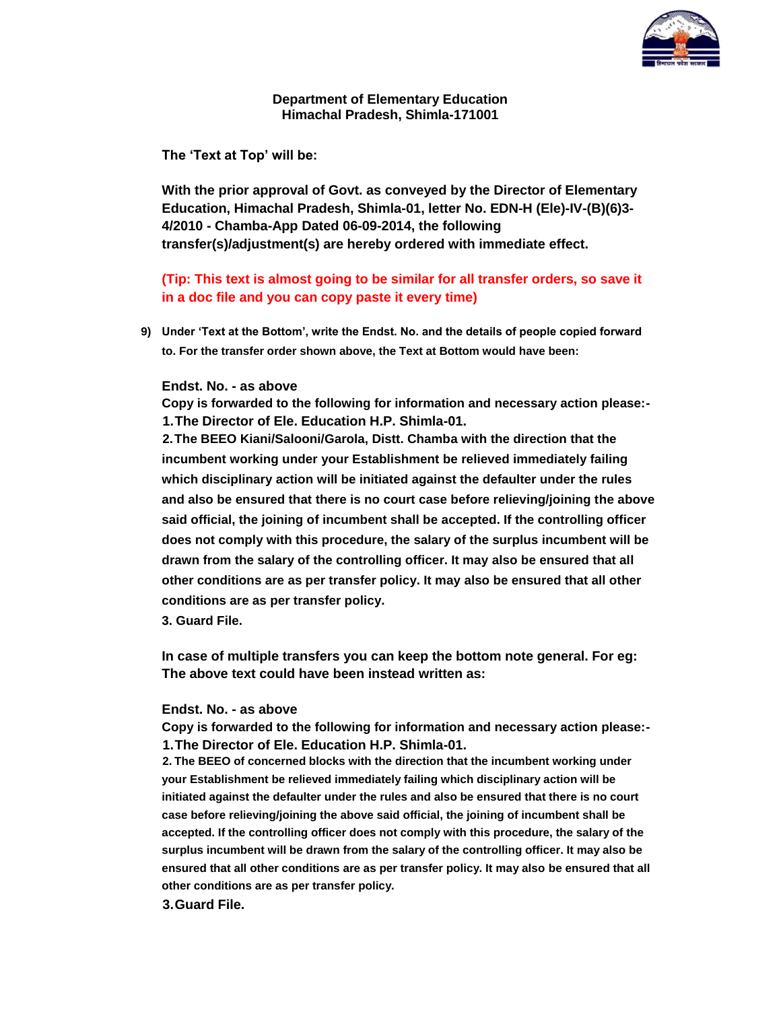

## **Department of Elementary Education Himachal Pradesh, Shimla-171001**

**The "Text at Top" will be:**

**With the prior approval of Govt. as conveyed by the Director of Elementary Education, Himachal Pradesh, Shimla-01, letter No. EDN-H (Ele)-IV-(B)(6)3- 4/2010 - Chamba-App Dated 06-09-2014, the following transfer(s)/adjustment(s) are hereby ordered with immediate effect.**

**(Tip: This text is almost going to be similar for all transfer orders, so save it in a doc file and you can copy paste it every time)**

**9) Under "Text at the Bottom", write the Endst. No. and the details of people copied forward to. For the transfer order shown above, the Text at Bottom would have been:**

### **Endst. No. - as above**

**Copy is forwarded to the following for information and necessary action please:- 1.The Director of Ele. Education H.P. Shimla-01.**

**2.The BEEO Kiani/Salooni/Garola, Distt. Chamba with the direction that the incumbent working under your Establishment be relieved immediately failing which disciplinary action will be initiated against the defaulter under the rules and also be ensured that there is no court case before relieving/joining the above said official, the joining of incumbent shall be accepted. If the controlling officer does not comply with this procedure, the salary of the surplus incumbent will be drawn from the salary of the controlling officer. It may also be ensured that all other conditions are as per transfer policy. It may also be ensured that all other conditions are as per transfer policy.**

**3. Guard File.**

**In case of multiple transfers you can keep the bottom note general. For eg: The above text could have been instead written as:**

### **Endst. No. - as above**

**Copy is forwarded to the following for information and necessary action please:- 1.The Director of Ele. Education H.P. Shimla-01.**

**2. The BEEO of concerned blocks with the direction that the incumbent working under your Establishment be relieved immediately failing which disciplinary action will be initiated against the defaulter under the rules and also be ensured that there is no court case before relieving/joining the above said official, the joining of incumbent shall be accepted. If the controlling officer does not comply with this procedure, the salary of the surplus incumbent will be drawn from the salary of the controlling officer. It may also be ensured that all other conditions are as per transfer policy. It may also be ensured that all other conditions are as per transfer policy.**

**3.Guard File.**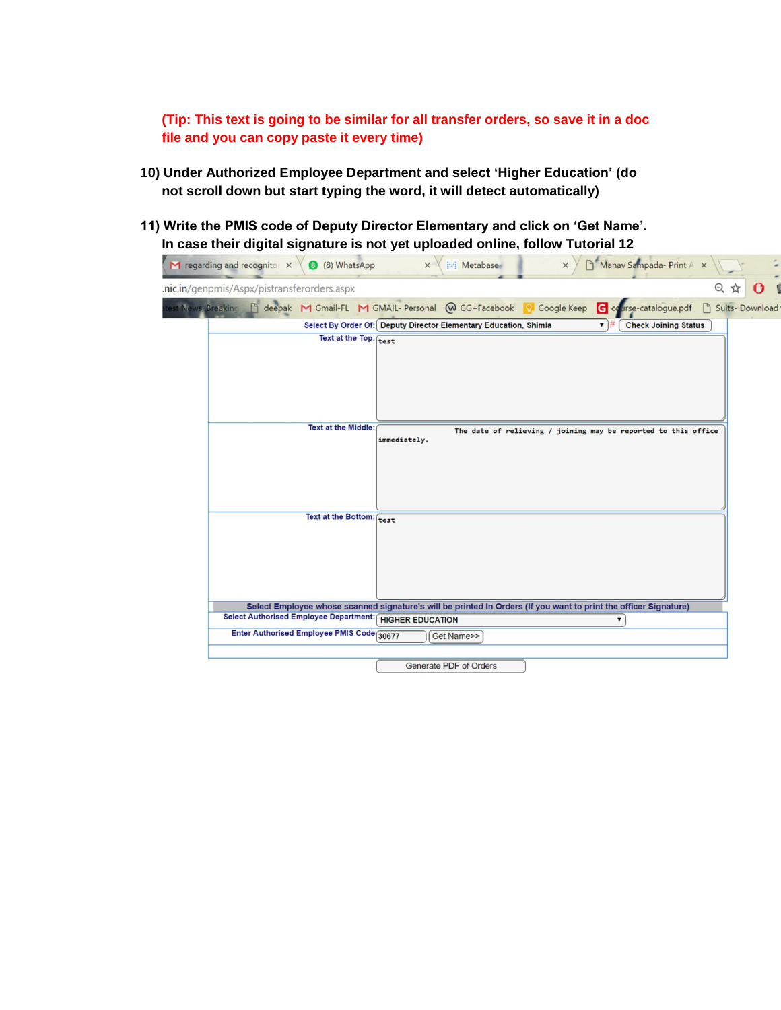**(Tip: This text is going to be similar for all transfer orders, so save it in a doc file and you can copy paste it every time)**

- **10) Under Authorized Employee Department and select "Higher Education" (do not scroll down but start typing the word, it will detect automatically)**
- **11) Write the PMIS code of Deputy Director Elementary and click on "Get Name". In case their digital signature is not yet uploaded online, follow Tutorial 12**

| regarding and recognitor X                              | 3 (8) WhatsApp             | Manav Sampada- Print A X<br><b>Metabase</b><br>$\times$<br>×                                                          |
|---------------------------------------------------------|----------------------------|-----------------------------------------------------------------------------------------------------------------------|
| .nic.in/genpmis/Aspx/pistransferorders.aspx             |                            | 只公<br>O                                                                                                               |
| est News, Breaking                                      |                            | deepak M Gmail-FL M GMAIL- Personal W GG+Facebook 8 Google Keep<br>G course-catalogue.pdf<br>$\Box$<br>Suits-Download |
|                                                         |                            | Select By Order Of: Deputy Director Elementary Education, Shimla<br><b>Check Joining Status</b><br>$\mathbf{v}$ #     |
|                                                         | Text at the Top: test      |                                                                                                                       |
|                                                         | <b>Text at the Middle:</b> | The date of relieving / joining may be reported to this office<br>immediately.                                        |
|                                                         | Text at the Bottom: test   |                                                                                                                       |
|                                                         |                            | Select Employee whose scanned signature's will be printed In Orders (If you want to print the officer Signature)      |
| Select Authorised Employee Department: HIGHER EDUCATION |                            | 7                                                                                                                     |
| Enter Authorised Employee PMIS Code 30677               |                            | Get Name>>                                                                                                            |
|                                                         |                            | Generate PDF of Orders                                                                                                |